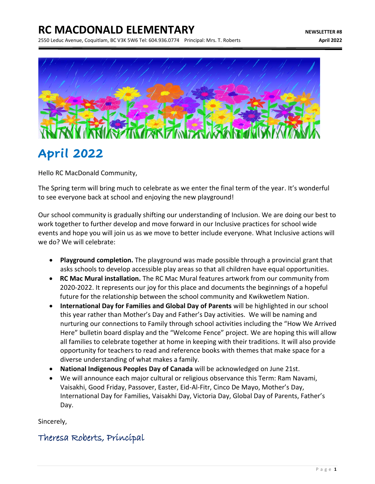### **RC MACDONALD ELEMENTARY NEWSLETTER #8**

2550 Leduc Avenue, Coquitlam, BC V3K 5W6 Tel: 604.936.0774 Principal: Mrs. T. Roberts **April 2022**



## **April 2022**

Hello RC MacDonald Community,

The Spring term will bring much to celebrate as we enter the final term of the year. It's wonderful to see everyone back at school and enjoying the new playground!

Our school community is gradually shifting our understanding of Inclusion. We are doing our best to work together to further develop and move forward in our Inclusive practices for school wide events and hope you will join us as we move to better include everyone. What Inclusive actions will we do? We will celebrate:

- **Playground completion.** The playground was made possible through a provincial grant that asks schools to develop accessible play areas so that all children have equal opportunities.
- **RC Mac Mural installation.** The RC Mac Mural features artwork from our community from 2020-2022. It represents our joy for this place and documents the beginnings of a hopeful future for the relationship between the school community and Kwikwetlem Nation.
- **International Day for Families and Global Day of Parents** will be highlighted in our school this year rather than Mother's Day and Father's Day activities. We will be naming and nurturing our connections to Family through school activities including the "How We Arrived Here" bulletin board display and the "Welcome Fence" project. We are hoping this will allow all families to celebrate together at home in keeping with their traditions. It will also provide opportunity for teachers to read and reference books with themes that make space for a diverse understanding of what makes a family.
- **National Indigenous Peoples Day of Canada** will be acknowledged on June 21st.
- We will announce each major cultural or religious observance this Term: Ram Navami, Vaisakhi, Good Friday, Passover, Easter, Eid-Al-Fitr, Cinco De Mayo, Mother's Day, International Day for Families, Vaisakhi Day, Victoria Day, Global Day of Parents, Father's Day.

Sincerely,

### Theresa Roberts, Principal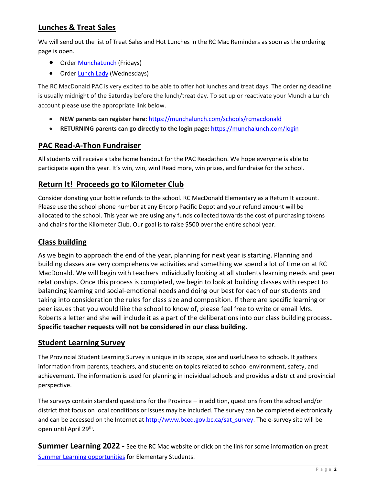#### **Lunches & Treat Sales**

We will send out the list of Treat Sales and Hot Lunches in the RC Mac Reminders as soon as the ordering page is open.

- Order [MunchaLunch](https://munchalunch.com/login.aspx) (Fridays)
- Order **Lunch Lady** (Wednesdays)

The RC MacDonald PAC is very excited to be able to offer hot lunches and treat days. The ordering deadline is usually midnight of the Saturday before the lunch/treat day. To set up or reactivate your Munch a Lunch account please use the appropriate link below.

- **NEW parents can register here:** <https://munchalunch.com/schools/rcmacdonald>
- **RETURNING parents can go directly to the login page:** <https://munchalunch.com/login>

#### **PAC Read-A-Thon Fundraiser**

All students will receive a take home handout for the PAC Readathon. We hope everyone is able to participate again this year. It's win, win, win! Read more, win prizes, and fundraise for the school.

#### **Return It! Proceeds go to Kilometer Club**

Consider donating your bottle refunds to the school. RC MacDonald Elementary as a Return It account. Please use the school phone number at any Encorp Pacific Depot and your refund amount will be allocated to the school. This year we are using any funds collected towards the cost of purchasing tokens and chains for the Kilometer Club. Our goal is to raise \$500 over the entire school year.

#### **Class building**

As we begin to approach the end of the year, planning for next year is starting. Planning and building classes are very comprehensive activities and something we spend a lot of time on at RC MacDonald. We will begin with teachers individually looking at all students learning needs and peer relationships. Once this process is completed, we begin to look at building classes with respect to balancing learning and social-emotional needs and doing our best for each of our students and taking into consideration the rules for class size and composition. If there are specific learning or peer issues that you would like the school to know of, please feel free to write or email Mrs. Roberts a letter and she will include it as a part of the deliberations into our class building process**. Specific teacher requests will not be considered in our class building.** 

#### **Student Learning Survey**

The Provincial Student Learning Survey is unique in its scope, size and usefulness to schools. It gathers information from parents, teachers, and students on topics related to school environment, safety, and achievement. The information is used for planning in individual schools and provides a district and provincial perspective.

The surveys contain standard questions for the Province – in addition, questions from the school and/or district that focus on local conditions or issues may be included. The survey can be completed electronically and can be accessed on the Internet at [http://www.bced.gov.bc.ca/sat\\_survey.](http://www.bced.gov.bc.ca/sat_survey) The e-survey site will be open until April 29<sup>th</sup>.

**Summer Learning 2022 -** See the RC Mac website or click on the link for some information on great [Summer Learning](file:///C:/Users/slatulippe/Downloads/Summer%20Learning%202022.pdf) opportunities for Elementary Students.